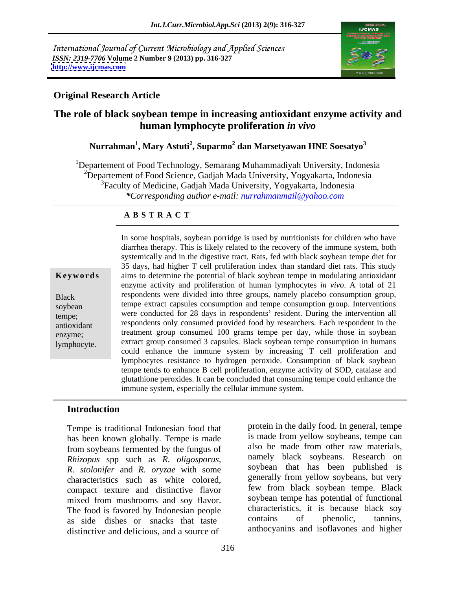International Journal of Current Microbiology and Applied Sciences *ISSN: 2319-7706* **Volume 2 Number 9 (2013) pp. 316-327 <http://www.ijcmas.com>**



# **Original Research Article**

# **The role of black soybean tempe in increasing antioxidant enzyme activity and human lymphocyte proliferation** *in vivo*

### **Nurrahman<sup>1</sup> , Mary Astuti<sup>2</sup> , Suparmo<sup>2</sup> dan Marsetyawan HNE Soesatyo<sup>3</sup>**

<sup>1</sup>Departement of Food Technology, Semarang Muhammadiyah University, Indonesia 2Departement of Food Science, Gadjah Mada University, Yogyakarta, Indonesia <sup>3</sup>Faculty of Medicine, Gadjah Mada University, Yogyakarta, Indonesia *\*Corresponding author e-mail: nurrahmanmail@yahoo.com*

### **A B S T R A C T**

**Keywords** aims to determine the potential of black soybean tempe in modulating antioxidant Black respondents were divided into three groups, namely placebo consumption group, Black respondents were divided into three groups, namely placebo consumption group,<br>soybean tempe extract capsules consumption and tempe consumption group. Interventions tempe; were conducted for 28 days in respondents' resident. During the intervention all antioxidant respondents only consumed provided food by researchers. Each respondent in the enzyme; treatment group consumed 100 grams tempe per day, while those in soybean lymphocyte. extract group consumed 3 capsules. Black soybean tempe consumption in humans In some hospitals, soybean porridge is used by nutritionists for children who have diarrhea therapy. This is likely related to the recovery of the immune system, both systemically and in the digestive tract. Rats, fed with black soybean tempe diet for 35 days, had higher T cell proliferation index than standard diet rats. This study enzyme activity and proliferation of human lymphocytes *in vivo*. A total of 21 could enhance the immune system by increasing T cell proliferation and lymphocytes resistance to hydrogen peroxide. Consumption of black soybean tempe tends to enhance B cell proliferation, enzyme activity of SOD, catalase and glutathione peroxides. It can be concluded that consuming tempe could enhance the immune system, especially the cellular immune system.

# **Introduction**

Tempe is traditional Indonesian food that has been known globally. Tempe is made from soybeans fermented by the fungus of as side dishes or snacks that taste contains of phenolic, tannins, distinctive and delicious, and a source of

*Rhizopus* spp such as *R. oligosporus*, and that has been published is *R. stolonifer* and *R. oryzae* with some soybean that has been published is characteristics such as white colored, generally from yellow soybeans, but very<br>compact texture and distinctive flavor flavor flavor flavor flavor flavor flavor flavor flavor tempe. Black mixed from mushrooms and soy flavor. Soybean tempe has potential of functional<br>The food is favored by Indonesian people characteristics, it is because black soy protein in the daily food. In general, tempe is made from yellow soybeans, tempe can also be made from other raw materials, namely black soybeans. Research on soybean that has been published is generally from yellow soybeans, but very few from black soybean tempe. Black soybean tempe has potential of functional characteristics, it is because black soy contains of phenolic, tannins, anthocyanins and isoflavones and higher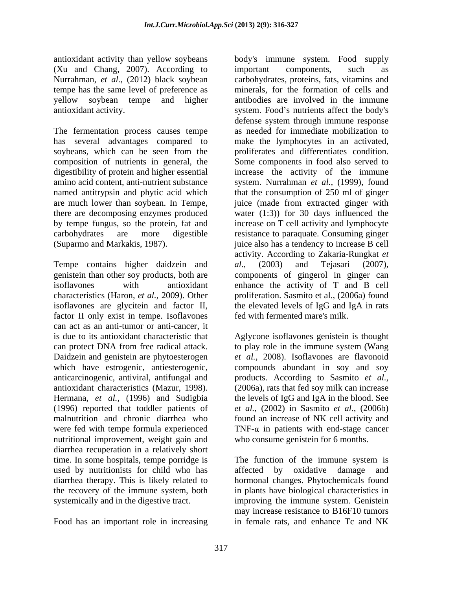antioxidant activity than yellow soybeans (Xu and Chang, 2007). According to Nurrahman, *et al.,* (2012) black soybean tempe has the same level of preference as

The fermentation process causes tempe has several advantages compared to make the lymphocytes in an activated, composition of nutrients in general, the Some components in food also served to named antitrypsin and phytic acid which<br>are much lower than soybean. In Tempe,

Tempe contains higher daidzein and al., (2003) and Tejasari (2007), genistein than other soy products, both are components of gingerol in ginger can isoflavones are glycitein and factor II, factor II only exist in tempe. Isoflavones can act as an anti-tumor or anti-cancer, it is due to its antioxidant characteristic that Aglycone isoflavones genistein is thought can protect DNA from free radical attack. Daidzein and genistein are phytoesterogen *et al.,* 2008). Isoflavones are flavonoid which have estrogenic, antiesterogenic, compounds abundant in soy and soy anticarcinogenic, antiviral, antifungal and products. According to Sasmito *et al.,* antioxidant characteristics (Mazur, 1998). (2006a), rats that fed soy milk can increase Hermana, *et al.,* (1996) and Sudigbia the levels of IgG and IgA in the blood. See (1996) reported that toddler patients of *et al.,* (2002) in Sasmito *et al.,* (2006b) malnutrition and chronic diarrhea who found an increase of NK cell activity and were fed with tempe formula experienced TNF- $\alpha$  in patients with end-stage cancer nutritional improvement, weight gain and diarrhea recuperation in a relatively short time. In some hospitals, tempe porridge is The function of the immune system is used by nutritionists for child who has diarrhea therapy. This is likely related to hormonal changes. Phytochemicals found the recovery of the immune system, both in plants have biological characteristics in

Food has an important role in increasing

yellow soybean tempe and higher antioxidant activity. System. Food's nutrients affect the body's soybeans, which can be seen from the proliferates and differentiates condition. digestibility of protein and higher essential increase the activity of the immune amino acid content, anti-nutrient substance system. Nurrahman *et al.,* (1999), found are much lower than soybean. In Tempe, juice (made from extracted ginger with there are decomposing enzymes produced water (1:3)) for 30 days influenced the by tempe fungus, so the protein, fat and increase on T cell activity and lymphocyte carbohydrates are more digestible resistance to paraquate. Consuming ginger (Suparmo and Markakis, 1987). juice also has a tendency to increase B cell isoflavones with antioxidant enhance the activity of T and B cell characteristics (Haron, *et al.,* 2009). Other proliferation. Sasmito et al., (2006a) found body's immune system. Food supply important components, such as carbohydrates, proteins, fats, vitamins and minerals, for the formation of cells and antibodies are involved in the immune defense system through immune response as needed for immediate mobilization to make the lymphocytes in an activated, proliferates and differentiates condition. Some components in food also served to that the consumption of 250 ml of ginger juice (made from extracted ginger with water (1:3)) for 30 days influenced the activity. According to Zakaria-Rungkat *et al.,* (2003) and Tejasari (2007), components of gingerol in ginger can the elevated levels of IgG and IgA in rats fed with fermented mare's milk.

> to play role in the immune system (Wang who consume genistein for 6 months.

systemically and in the digestive tract. improving the immune system. Genistein The function of the immune system is by oxidative damage and may increase resistance to B16F10 tumors in female rats, and enhance Tc and NK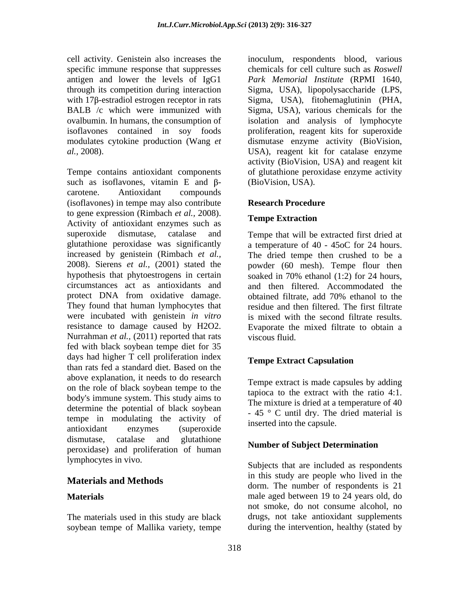specific immune response that suppresses antigen and lower the levels of IgG1 Park Memorial Institute (RPMI 1640, through its competition during interaction Sigma, USA), lipopolysaccharide (LPS, with  $17\beta$ -estradiol estrogen receptor in rats Sigma, USA), fitohemaglutinin (PHA, BALB /c which were immunized with Sigma, USA), various chemicals for the

Tempe contains antioxidant components of glutathione peroxidase enzyme activity such as isoflavones, vitamin  $E$  and  $\beta$ carotene. Antioxidant compounds (isoflavones) in tempe may also contribute to gene expression (Rimbach *et al.*, 2008). <br>Activity of antioxidant enzymes such as **Tempe Extraction** superoxide dismutase, catalase and Tempe that will be extracted first dried at glutathione peroxidase was significantly a temperature of 40 - 45oC for 24 hours. increased by genistein (Rimbach *et al.,* The dried tempe then crushed to be a 2008). Sierens *et al.,* (2001) stated the powder (60 mesh). Tempe flour then hypothesis that phytoestrogens in certain soaked in 70% ethanol (1:2) for 24 hours, circumstances act as antioxidants and protect DNA from oxidative damage. botained filtrate, add 70% ethanol to the They found that human lymphocytes that residue and then filtered. The first filtrate were incubated with genistein *in vitro* resistance to damage caused by H2O2. Evaporate the mixed filtrate to obtain a<br>Nurrahman *et al.*, (2011) reported that rats viscous fluid. fed with black soybean tempe diet for 35 days had higher T cell proliferation index<br>
Tempe Extract Capsulation than rats fed a standard diet. Based on the above explanation, it needs to do research on the role of black soybean tempe to the tapioca to the extract with the ratio 4:1. body's immune system. This study aims to<br>The mixture is dried at a temperature of 40 determine the potential of black soybean tempe in modulating the activity of inserted into the capsule. antioxidant enzymes (superoxide dismutase, catalase and glutathione  $\mathbf{N}$ <sub>representent</sub>  $\mathbf{R}$ <sub>representent</sub>  $\mathbf{R}$ <sub>representent</sub>  $\mathbf{R}$ peroxidase) and proliferation of human lymphocytes in vivo.

The materials used in this study are black soybean tempe of Mallika variety, tempe

cell activity. Genistein also increases the inoculum, respondents blood, various ovalbumin. In humans, the consumption of isolation and analysis of lymphocyte isoflavones contained in soy foods proliferation, reagent kits for superoxide modulates cytokine production (Wang *et*  dismutase enzyme activity (BioVision, *al.,* 2008). USA), reagent kit for catalase enzyme chemicals for cell culture such as *Roswell Park Memorial Institute* (RPMI 1640, Sigma, USA), lipopolysaccharide (LPS, Sigma, USA), fitohemaglutinin (PHA, Sigma, USA), various chemicals for the activity (BioVision, USA) and reagent kit (BioVision, USA).

# **Research Procedure**

### **Tempe Extraction**

soaked in 70% ethanol (1:2) for <sup>24</sup> hours, and then filtered. Accommodated the obtained filtrate, add 70% ethanol to the residue and then filtered. The first filtrate is mixed with the second filtrate results. Evaporate the mixed filtrate to obtain <sup>a</sup> viscous fluid.

# **Tempe Extract Capsulation**

Tempe extract is made capsules by adding tapioca to the extract with the ratio 4:1. The mixture is dried at a temperature of 40 - 45 ° C until dry. The dried material is inserted into the capsule.

### **Number of Subject Determination**

**Materials and Methods dorm.** The number of respondents is 21 **Materials** male aged between 19 to 24 years old, do Subjects that are included as respondents in this study are people who lived in the not smoke, do not consume alcohol, no drugs, not take antioxidant supplements during the intervention, healthy (stated by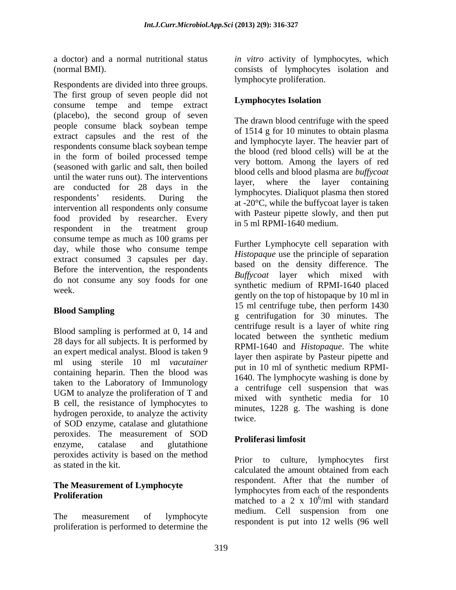Respondents are divided into three groups. The first group of seven people did not<br>
Lymphocytes Isolation consume tempe and tempe extract (placebo), the second group of seven people consume black soybean tempe extract capsules and the rest of the respondents consume black soybean tempe in the form of boiled processed tempe (seasoned with garlic and salt, then boiled until the water runs out). The interventions<br>layer, where the layer containing are conducted for 28 days in the respondents' residents. During the *rymphocytes*. Dianguot plasma their store intervention all respondents only consume food provided by researcher. Every with asset pipelte slowly,<br>in 5 ml RPMI-1640 medium. respondent in the treatment group consume tempe as much as 100 grams per day, while those who consume tempe extract consumed 3 capsules per day.<br>Before the intervention, the respondents  $R$ . Buffuse the laws which mixed with do not consume any soy foods for one

Blood sampling is performed at 0, 14 and<br>located between the synthetic medium 28 days for all subjects. It is performed by an expert medical analyst. Blood is taken 9 ml using sterile 10 ml *vacutainer* containing heparin. Then the blood was taken to the Laboratory of Immunology B cell, the resistance of lymphocytes to hydrogen peroxide, to analyze the activity twice. of SOD enzyme, catalase and glutathione peroxides. The measurement of SOD enzyme, catalase and glutathione **Frontiness introduced** peroxides activity is based on the method

# **The Measurement of Lymphocyte**

The measurement of lymphocyte respondent is put into 12 wells (96 well proliferation is performed to determine the

a doctor) and a normal nutritional status *in vitro* activity of lymphocytes, which (normal BMI). consists of lymphocytes isolation and lymphocyte proliferation.

# **Lymphocytes Isolation**

The drawn blood centrifuge with the speed of 1514 g for 10 minutes to obtain plasma and lymphocyte layer. The heavier part of the blood (red blood cells) will be at the very bottom. Among the layers of red blood cells and blood plasmaare *buffycoat* layer, where the layer containing lymphocytes. Dialiquot plasma then stored at -20°C, while the buffycoat layer is taken with Pasteur pipette slowly, and then put in 5 ml RPMI-1640 medium.

week.<br>gently on the top of histopaque by 10 ml in **Blood Sampling**<br>
g centrifugation for 30 minutes. The UGM to analyze the proliferation of T and  $\frac{a}{m}$  continues can suspension that was Further Lymphocyte cell separation with *Histopaque* use the principle of separation based on the density difference. The *Buffycoat* layer which mixed with synthetic medium of RPMI-1640 placed 15 ml centrifuge tube, then perform 1430 centrifuge result is a layer of white ring located between the synthetic medium RPMI-1640 and *Histopaque*. The white layer then aspirate by Pasteur pipette and put in 10 ml of synthetic medium RPMI- 1640. The lymphocyte washing is done by a centrifuge cell suspension that was mixed with synthetic media for 10 minutes, 1228 g. The washing is done twice.

# **Proliferasi limfosit**

as stated in the kit.<br>calculated the amount obtained from each **Proliferation**<br>
matched to a 2 x 10<sup>6</sup>/ml with standard Prior to culture, lymphocytes first calculated the amount obtained from each respondent. After that the number of lymphocytes from each of the respondents /ml with standard medium. Cell suspension from one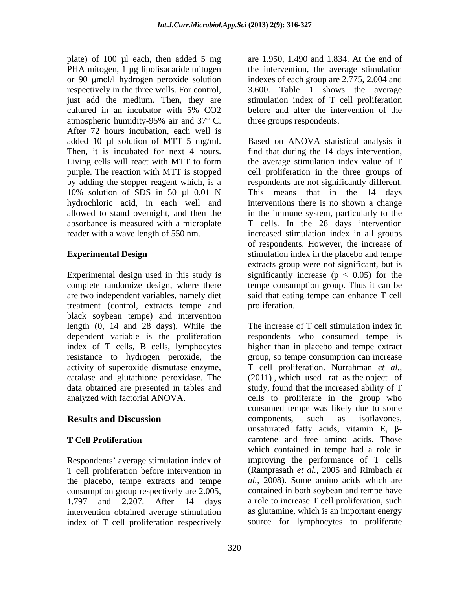plate) of  $100 \mu l$  each, then added  $5 \mu g$ PHA mitogen, 1 µg lipolisacaride mitogen or 90  $\mu$ mol/l hydrogen peroxide solution indexes of each group are 2.775, 2.004 and respectively in the three wells. For control, 3.600. Table 1 shows the average just add the medium. Then, they are stimulation index of T cell proliferation cultured in an incubator with 5% CO2 atmospheric humidity-95% air and 37° C. three groups respondents.<br>After 72 hours incubation, each well is by adding the stopper reagent which, is a 10% solution of SDS in 50 µl 0.01 N This means that in the 14 days

complete randomize design, where there treatment (control, extracts tempe and black soybean tempe) and intervention length (0, 14 and 28 days). While the index of T cells, B cells, lymphocytes

Respondents' average stimulation index of T cell proliferation before intervention in the placebo, tempe extracts and tempe consumption group respectively are 2.005, intervention obtained average stimulation index of T cell proliferation respectively

are 1.950, 1.490 and 1.834. At the end of the intervention, the average stimulation before and after the intervention of the three groups respondents.

added 10 µl solution of MTT 5 mg/ml. Based on ANOVA statistical analysis it<br>Then, it is incubated for next 4 hours. find that during the 14 days intervention, Living cells will react with MTT to form the average stimulation index value of T purple. The reaction with MTT is stopped cell proliferation in the three groups of hydrochloric acid, in each well and interventions there is no shown a change allowed to stand overnight, and then the in the immune system, particularly to the absorbance is measured with a microplate T cells. In the 28 days intervention reader with a wave length of 550 nm. increased stimulation index in all groups **Experimental Design** stimulation index in the placebo and tempe Experimental design used in this study is significantly increase ( $p \leq 0.05$ ) for the are two independent variables, namely diet said that eating tempe can enhance T cell Based on ANOVA statistical analysis it find that during the 14 days intervention, respondents are not significantly different. This means that in the 14 days of respondents. However, the increase of extracts group were not significant, but is tempe consumption group. Thus it can be proliferation.

dependent variable is the proliferation respondents who consumed tempe is resistance to hydrogen peroxide, the group, so tempe consumption can increase activity of superoxide dismutase enzyme, T cell proliferation. Nurrahman *et al.*, catalase and glutathione peroxidase. The (2011), which used rat as the object of data obtained are presented in tables and study, found that the increased ability of T analyzed with factorial ANOVA. cells to proliferate in the group who **Results and Discussion** components, such as isoflavones, **T Cell Proliferation** carotene and free amino acids. Those 1.797 and 2.207. After 14 days a role to increase T cell proliferation, such The increase of T cell stimulation index in higher than in placebo and tempe extract T cell proliferation. Nurrahman *et al.,* (2011) , which used rat as the object of consumed tempe was likely due to some components, such as isoflavones, unsaturated fatty acids, vitamin  $E$ ,  $\beta$ which contained in tempe had a role in improving the performance of T cells (Ramprasath *et al.,* 2005 and Rimbach *et al.,* 2008). Some amino acids which are contained in both soybean and tempe have as glutamine, which is an important energy source for lymphocytes to proliferate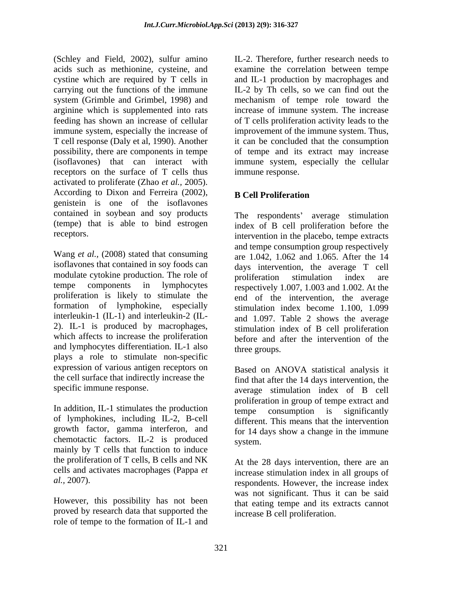(Schley and Field, 2002), sulfur amino acids such as methionine, cysteine, and cystine which are required by T cells in and IL-1 production by macrophages and carrying out the functions of the immune IL-2 by Th cells, so we can find out the system (Grimble and Grimbel, 1998) and mechanism of tempe role toward the arginine which is supplemented into rats increase of immune system. The increase feeding has shown an increase of cellular of T cells proliferation activity leads to the immune system, especially the increase of improvement of the immune system. Thus, T cell response (Daly et al, 1990). Another it can be concluded that the consumption possibility, there are components in tempe of tempe and its extract may increase (isoflavones) that can interact with immune system, especially the cellular receptors on the surface of T cells thus activated to proliferate (Zhao *et al.,* 2005). According to Dixon and Ferreira (2002), **B Cell Proliferation** genistein is one of the isoflavones contained in soybean and soy products (tempe) that is able to bind estrogen index of B cell proliferation before the

Wang *et al.,* (2008) stated that consuming isoflavones that contained in soy foods can modulate cytokine production. The role of proliferation stimulation index are proliferation is likely to stimulate the formation of lymphokine, especially interleukin-1 (IL-1) and interleukin-2 (IL- 2). IL-1 is produced by macrophages, which affects to increase the proliferation and lymphocytes differentiation. IL-1 also three groups. plays a role to stimulate non-specific expression of various antigen receptors on the cell surface that indirectly increase the

growth factor, gamma interferon, and chemotactic factors. IL-2 is produced system. mainly by T cells that function to induce the proliferation of T cells, B cells and NK cells and activates macrophages (Pappa *et* 

proved by research data that supported the role of tempe to the formation of IL-1 and IL-2. Therefore, further research needs to examine the correlation between tempe immune response.

# **B Cell Proliferation**

receptors. intervention in the placebo, tempe extracts tempe components in lymphocytes respectively 1.007, 1.003 and 1.002. At the The respondents' average stimulation and tempe consumption group respectively are 1.042, 1.062 and 1.065. After the 14 days intervention, the average T cell proliferation stimulation index are end of the intervention, the average stimulation index become 1.100, 1.099 and 1.097. Table 2 shows the average stimulation index of B cell proliferation before and after the intervention of the three groups.

specific immune response.<br>In addition, IL-1 stimulates the production<br>In addition, IL-1 stimulates the production<br>In addition, IL-1 stimulates the production<br>In a consumption is significantly of lymphokines, including IL-2, B-cell different. This means that the intervention Based on ANOVA statistical analysis it find that after the 14 days intervention, the average stimulation index of B cell proliferation in group of tempe extract and tempe consumption is significantly for 14 days show a change in the immune system.

*al.,* 2007). respondents. However, the increase index However, this possibility has not been that eating tempe and its extracts cannot At the 28 days intervention, there are an increase stimulation index in all groups of was not significant. Thus it can be said increase B cell proliferation.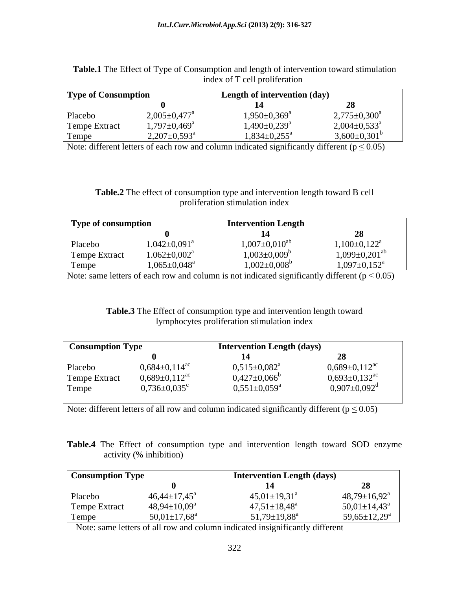| <b>Type of Consumption</b> |                                | Length of intervention (day)   |                                |
|----------------------------|--------------------------------|--------------------------------|--------------------------------|
|                            |                                |                                |                                |
| Placebo                    | $2,005 \pm 0,477$ <sup>a</sup> | $0.950 \pm 0.369$ <sup>a</sup> | $2,775 \pm 0,300^{\mathrm{a}}$ |
| <b>Tempe Extract</b>       | $1,797 \pm 0,469$ <sup>a</sup> | $,490\pm0,239$ <sup>a</sup>    | $2,004\pm0,533^{\circ}$        |
| Tempe                      | $2,207 \pm 0,593$ <sup>a</sup> | $1,834 \pm 0,255$ <sup>a</sup> | $3,600 \pm 0,301^{\circ}$      |

**Table.1** The Effect of Type of Consumption and length of intervention toward stimulation index of T cell proliferation

Note: different letters of each row and column indicated significantly different ( $p \le 0.05$ )

**Table.2** The effect of consumption type and intervention length toward B cell proliferation stimulation index

| Type of consumption |                                | <b>Intervention Length</b> |                                 |
|---------------------|--------------------------------|----------------------------|---------------------------------|
|                     |                                |                            |                                 |
| Placebo             | $1.042 \pm 0.091$ <sup>a</sup> | $,007\pm0,010^a$           | $1,100 \pm 0,122^{\text{a}}$    |
| Tempe Extract       | $1.062 \pm 0.002^a$            | $0.003 \pm 0.009^b$        | $1,099 \pm 0,201^{\mathrm{ab}}$ |
| Tempe               | $1,065 \pm 0,048^{\text{a}}$   | $1,002\pm0,008^b$          | $1,097 \pm 0,152$ <sup>a</sup>  |

Note: same letters of each row and column is not indicated significantly different ( $p \le 0.05$ )

**Table.3** The Effect of consumption type and intervention length toward lymphocytes proliferation stimulation index

| Placebo<br>$0,515 \pm 0,082^{\text{a}}$<br>$0,689 \pm 0,112^{\text{ac}}$<br>$0,684\pm0,114^{\text{ac}}$               |
|-----------------------------------------------------------------------------------------------------------------------|
| $3,693 \pm 0,132$ <sup>ac</sup><br>$0,689 \pm 0,112$ <sup>ac</sup><br>$0,427\pm0,066^{\circ}$<br><b>Tempe Extract</b> |
| $0,551 \pm 0,059^a$<br>$0,907 \pm 0,092$ <sup>d</sup><br>$0,736 \pm 0,035$ <sup>c</sup><br>Tempe                      |

Note: different letters of all row and column indicated significantly different ( $p \le 0.05$ )

**Table.4** The Effect of consumption type and intervention length toward SOD enzyme activity (% inhibition)

| <b>Consumption Type</b> |                                | <b>Intervention Length (days)</b> |                                |
|-------------------------|--------------------------------|-----------------------------------|--------------------------------|
|                         |                                |                                   |                                |
| Placebo                 | $46,44\pm17,45^{\circ}$        | $45,01 \pm 19,31$ <sup>a</sup>    | $48,79 \pm 16,92^{\text{a}}$   |
| Tempe Extract           | $48,94 \pm 10,09^{\mathrm{a}}$ | $47,51 \pm 18,48$ <sup>a</sup>    | $50,01 \pm 14,43$ <sup>a</sup> |
| Tempe                   | $50,01 \pm 17,68$ <sup>a</sup> | $51,79 \pm 19,88^{\text{a}}$      | $59,65 \pm 12,29^{\rm a}$      |

Note: same letters of all row and column indicated insignificantly different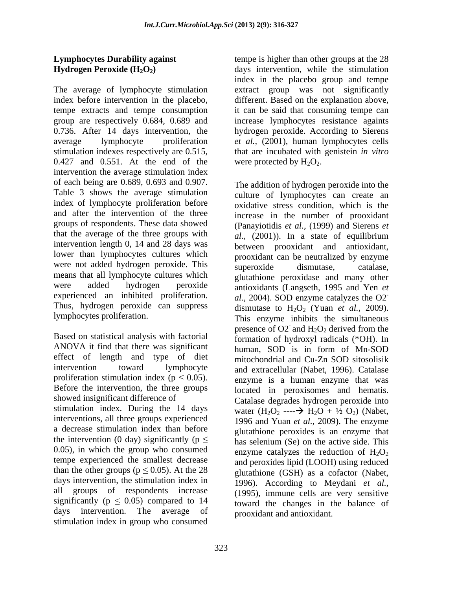The average of lymphocyte stimulation extract group was not significantly index before intervention in the placebo, different. Based on the explanation above, tempe extracts and tempe consumption it can be said that consuming tempe can group are respectively 0.684, 0.689 and increase lymphocytes resistance againts 0.736. After 14 days intervention, the hydrogen peroxide. According to Sierens average lymphocyte proliferation *et al.,* (2001), human lymphocytes cells stimulation indexes respectively are 0.515, that are incubated with genistein *in vitro* 0.427 and 0.551. At the end of the intervention the average stimulation index of each being are 0.689, 0.693 and 0.907. Table 3 shows the average stimulation index of lymphocyte proliferation before and after the intervention of the three groups of respondents. These data showed intervention length 0, 14 and 28 days was between prooxidant and antioxidant, lower than lymphocytes cultures which prooxidant can be neutralized by enzyme were not added hydrogen peroxide. This superoxide dismutase, catalase, means that all lymphocyte cultures which elutathione peroxidase and many other experienced an inhibited proliferation. Thus, hydrogen peroxide can suppress dismutase to  $H_2O_2$  (Yuan et al., 2009). lymphocytes proliferation. This enzyme inhibits the simultaneous

ANOVA it find that there was significant human. SOD is in form of Mn-SOD effect of length and type of diet intervention toward lymphocyte and extracellular (Nabet, 1996). Catalase proliferation stimulation index ( $p \leq 0.05$ ). Before the intervention, the three groups located in peroxisomes and hematis. showed insignificant difference of Catalase degrades hydrogen peroxide into stimulation index. During the 14 days water  $(H_2O_2 \longrightarrow H_2O + \frac{1}{2}O_2)$  (Nabet, interventions, all three groups experienced 1996 and Yuan *et al.,* 2009). The enzyme a decrease stimulation index than before the intervention (0 day) significantly ( $p \leq$ 0.05), in which the group who consumed tempe experienced the smallest decrease and peroxides lipid (LOOH) using reduced than the other groups ( $p \leq 0.05$ ). At the 28 days intervention, the stimulation index in all groups of respondents increase (1995), immune cells are very sensitive significantly ( $p \leq 0.05$ ) compared to 14 days intervention. The average of stimulation index in group who consumed

**Lymphocytes Durability against** tempe is higher than other groups at the 28 **Hydrogen Peroxide** (H<sub>2</sub>O<sub>2</sub>) days intervention, while the stimulation index in the placebo group and tempe were protected by  $H_2O_2$ .

that the average of the three groups with  $al$ ,  $(2001)$ ). In a state of equilibrium were added hydrogen peroxide antioxidants (Langseth, 1995 and Yen *et*  Based on statistical analysis with factorial presence of O2 and  $H_2O_2$  derived from the<br>formation of hydroxyl radicals (\*OH) In The addition of hydrogen peroxide into the culture of lymphocytes can create an oxidative stress condition, which is the increase in the number of prooxidant (Panayiotidis *et al.,* (1999) and Sierens *et*  between prooxidant and antioxidant, prooxidant can be neutralized by enzyme superoxide dismutase, catalase, glutathione peroxidase and many other *al.,* 2004). SOD enzyme catalyzes the O2 dismutase to  $H_2O_2$  (Yuan *et al.,* 2009).<br>This enzyme inhibits the simultaneous presence of O2 and  $H_2O_2$  derived from the formation of hydroxyl radicals (\*OH). In human, SOD is in form of Mn-SOD mitochondrial and Cu-Zn SOD sitosolisik enzyme is a human enzyme that was located in peroxisomes and hematis. Catalase degrades hydrogen peroxide into glutathione peroxides is an enzyme that has selenium (Se) on the active side. This enzyme catalyzes the reduction of  $H_2O_2$ glutathione (GSH) as a cofactor (Nabet, 1996). According to Meydani *et al.,* toward the changes in the balance of prooxidant and antioxidant.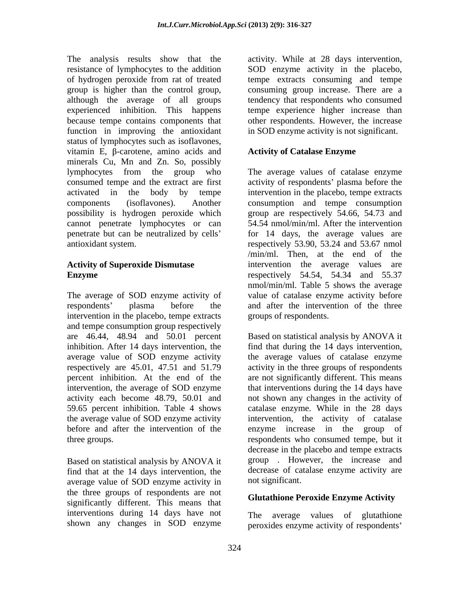The analysis results show that the activity. While at 28 days intervention, resistance of lymphocytes to the addition SOD enzyme activity in the placebo, of hydrogen peroxide from rat of treated group is higher than the control group, consuming group increase. There are a although the average of all groups tendency that respondents who consumed experienced inhibition. This happens because tempe contains components that other respondents. However, the increase function in improving the antioxidant status of lymphocytes such as isoflavones,<br>vitamin E,  $\beta$ -carotene, amino acids and **Activity of Catalase Enzyme** minerals Cu, Mn and Zn. So, possibly lymphocytes from the group who The average values of catalase enzyme consumed tempe and the extract are first activity of respondents' plasma before the activated in the body by tempe intervention in the placebo, tempe extracts components (isoflavones). Another consumption and tempe consumption possibility is hydrogen peroxide which group are respectively 54.66, 54.73 and cannot penetrate lymphocytes or can penetrate but can be neutralized by cells for 14 days, the average values are antioxidant system. respectively 53.90, 53.24 and 53.67 nmol

The average of SOD enzyme activity of value of catalase enzyme activity before respondents' plasma before the and after the intervention of the three intervention in the placebo, tempe extracts and tempe consumption group respectively inhibition. After 14 days intervention, the find that during the 14 days intervention, average value of SOD enzyme activity the average values of catalase enzyme

Based on statistical analysis by ANOVA it find that at the 14 days intervention, the average value of SOD enzyme activity in the three groups of respondents are not significantly different. This means that interventions during 14 days have not The average values of glutathione shown any changes in SOD enzyme

SOD enzyme activity in the placebo, tempe extracts consuming and tempe consuming group increase. There are a tendency that respondents who consumed tempe experience higher increase than in SOD enzyme activity is not significant.

### **Activity of Catalase Enzyme**

**Activity of Superoxide Dismutase** intervention the average values are **Enzyme Enzyme Enzyme Example 1 Example 2 Example 2 Example 2 EXAMPLE 24.54, 54.34 and 55.37** 54.54 nmol/min/ml. After the intervention /min/ml. Then, at the end of the nmol/min/ml. Table 5 shows the average groups of respondents.

are 46.44, 48.94 and 50.01 percent Based on statistical analysis by ANOVA it respectively are 45.01, 47.51 and 51.79 activity in the three groups of respondents percent inhibition. At the end of the are not significantly different. This means intervention, the average of SOD enzyme that interventions during the 14 days have activity each become 48.79, 50.01 and not shown any changes in the activity of 59.65 percent inhibition. Table 4 shows catalase enzyme. While in the 28 days the average value of SOD enzyme activity intervention, the activity of catalase before and after the intervention of the enzyme increase in the group of three groups. respondents who consumed tempe, but it find that during the <sup>14</sup> days intervention, the average values of catalase enzyme decrease in the placebo and tempe extracts group . However, the increase and decrease of catalase enzyme activity are not significant.

### **Glutathione Peroxide Enzyme Activity**

The average values of peroxides enzyme activity of respondents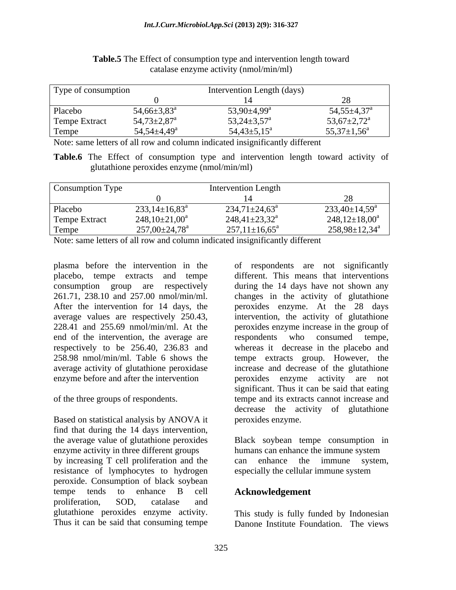| Type of consumption                                   |                               | Intervention Length (days)    |                               |
|-------------------------------------------------------|-------------------------------|-------------------------------|-------------------------------|
|                                                       |                               |                               |                               |
| Placebo                                               | $54,66 \pm 3,83$ <sup>a</sup> | $53,90 \pm 4,99$ <sup>a</sup> | $54,55 \pm 4,37^{\circ}$      |
| Tempe Extract                                         | $54,73\pm2,87^{\rm a}$        | $53,24 \pm 3,57$ <sup>a</sup> | 53,67 $\pm$ 2,72 <sup>a</sup> |
| Tempe<br>the control of the control of the control of | $54,54\pm4,49^{\circ}$        | $54,43 \pm 5,15^{\circ}$      | $55,37 \pm 1,56^{\circ}$      |

### **Table.5** The Effect of consumption type and intervention length toward catalase enzyme activity (nmol/min/ml)

Note: same letters of all row and column indicated insignificantly different

**Table.6** The Effect of consumption type and intervention length toward activity of glutathione peroxides enzyme (nmol/min/ml)

| Consumption Type     |                           | Intervention Length         |                            |
|----------------------|---------------------------|-----------------------------|----------------------------|
|                      |                           |                             |                            |
| Placebo              | $233,14\pm 16,83^{\circ}$ | $234,71 \pm 24,63^{\circ}$  | $233,40\pm14,59^{\circ}$   |
| <b>Tempe Extract</b> | $248,10\pm21,00^a$        | $248,41\pm23,32^a$          | $248,12\pm18,00^a$         |
| Tempe                | $257,00\pm24,78^{\rm a}$  | $257,11\pm16,65^{\text{a}}$ | $258,98 \pm 12,34^{\circ}$ |

Note: same letters of all row and column indicated insignificantly different

end of the intervention, the average are respondents who consumed tempe, respectively to be 256.40, 236.83 and whereas it decrease in the placebo and

Based on statistical analysis by ANOVA it find that during the 14 days intervention,<br>the average value of glutathione peroxides Black soybean tempe consumption in enzyme activity in three different groups humans can enhance the immune system by increasing T cell proliferation and the can enhance the immune system, resistance of lymphocytes to hydrogen especially the cellular immune system peroxide. Consumption of black soybean tempe tends to enhance B cell **Acknowledgement** proliferation, SOD, catalase and glutathione peroxides enzyme activity. This study is fully funded by Indonesian<br>Thus it can be said that consuming tempe Danone Institute Foundation. The views

plasma before the intervention in the of respondents are not significantly placebo, tempe extracts and tempe different. This means that interventions consumption group are respectively during the 14 days have not shown any 261.71, 238.10 and 257.00 nmol/min/ml. changes in the activity of glutathione After the intervention for 14 days, the peroxides enzyme. At the 28 days average values are respectively 250.43, intervention, the activity of glutathione 228.41 and 255.69 nmol/min/ml. At the peroxides enzyme increase in the group of 258.98 nmol/min/ml. Table 6 shows the tempe extracts group. However, the average activity of glutathione peroxidase increase and decrease of the glutathione enzyme before and after the intervention peroxides enzyme activity are not of the three groups of respondents. tempe and its extracts cannot increase and intervention, the activity of glutathione peroxides enzyme increase in the group of respondents who consumed tempe, whereas it decrease in the placebo and significant. Thus it can be said that eating decrease the activity of glutathione peroxides enzyme.

> Black soybean tempe consumption in humans can enhance the immune system can enhance the immune system, especially the cellular immune system

# **Acknowledgement**

This study is fully funded by Indonesian Danone Institute Foundation. The views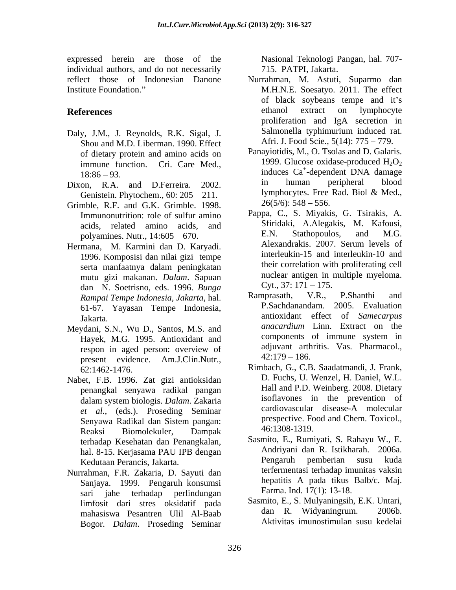expressed herein are those of the individual authors, and do not necessarily

- Shou and M.D. Liberman. 1990. Effect of dietary protein and amino acids on immune function. Cri. Care Med.,
- Genistein. Phytochem.,  $60: 205 211$ .
- Grimble, R.F. and G.K. Grimble. 1998. Immunonutrition: role of sulfur amino
- Hermana, M. Karmini dan D. Karyadi. 1996. Komposisi dan nilai gizi tempe mutu gizi makanan. *Dalam*. Sapuan dan N. Soetrisno, eds. 1996. *Bunga Rampai Tempe Indonesia, Jakarta*, hal. 61-67. Yayasan Tempe Indonesia,
- Meydani, S.N., Wu D., Santos, M.S. and *anacardum* Linn. Extract on the Meydani, S.N., Wu D., Santos, M.S. and *anacardum* Linn. Extract on the Hayek, M.G. 1995. Antioxidant and present evidence. Am.J.Clin.Nutr., 42:179 – 186.
- Nabet, F.B. 1996. Zat gizi antioksidan penangkal senyawa radikal pangan Reaksi Biomolekuler, Dampak <sup>46:1308</sup>-1319. terhadap Kesehatan dan Penangkalan,
- Nurrahman, F.R. Zakaria, D. Sayuti dan Sanjaya. 1999. Pengaruh konsumsi sari jahe terhadap perlindungan karma Ind I (1): 13-18. mahasiswa Pesantren Ulil Al-Baab Bogor. *Dalam*. Proseding Seminar

Nasional Teknologi Pangan, hal. 707- 715. PATPI, Jakarta.

- reflect those of Indonesian Danone Nurrahman, M. Astuti, Suparmo dan Institute Foundation." M.H.N.E. Soesatyo. 2011. The effect **References** ethanol extract on lymphocyte Daly, J.M., J. Reynolds, R.K. Sigal, J. Salmonella typhimurium induced rat. of black soybeans tempe and it's ethanol extract on lymphocyte proliferation and IgA secretion in Salmonella typhimurium induced rat. Afri. J. Food Scie., 5(14): 775 – 779.
- $18:86 93$ .  $18:86 93$ . Dixon, R.A. and D.Ferreira. 2002. in human peripheral blood Panayiotidis, M., O. Tsolas and D. Galaris. 1999. Glucose oxidase-produced  $H_2O_2$ -dependent DNA damage in human peripheral blood lymphocytes. Free Rad. Biol & Med.,  $26(5/6)$ : 548 - 556.
	- acids, related amino acids, and polyamines. Nutr., 14:605 – 670. E.N. Stathopoulos, and M.G.<br>mana M Karmini dan D Karyadi Alexandrakis. 2007. Serum levels of serta manfaatnya dalam peningkatan Pappa, C., S. Miyakis, G. Tsirakis, A. Sfiridaki, A.Alegakis, M. Kafousi, E.N. Stathopoulos, and M.G. Alexandrakis. 2007. Serum levels of interleukin-15 and interleukin-10 and their correlation with proliferating cell nuclear antigen in multiple myeloma. Cyt.,  $37: 171 - 175$ .
	- Jakarta. antioxidant effect of *Samecarpus*  respon in aged person: overview of adjuvant arthritis. Vas. Pharmacol., Ramprasath, V.R., P.Shanthi and P.Sachdanandam. 2005. Evaluation *anacardium* Linn. Extract on the components of immune system in adjuvant arthritis. Vas. Pharmacol.,  $42:179 - 186.$
	- 62:1462-1476. Rimbach, G., C.B. Saadatmandi, J. Frank, dalam system biologis. *Dalam*. Zakaria latitudine substitution of the prevention of the data of the prevention of the prevention of the prevention of the prevention of the prevention of the prevention of the prevention of *et al.,* (eds.). Proseding Seminar cardiovascular disease-A molecular<br>Senyawa Badikal dan Sistem pangan: prespective. Food and Chem. Toxicol.. Senyawa Radikal dan Sistem pangan: D. Fuchs, U. Wenzel, H. Daniel, W.L. Hall and P.D. Weinberg. 2008. Dietary isoflavones in the prevention of cardiovascular disease-A molecular prespective. Food and Chem. Toxicol., 46:1308-1319.
	- hal. 8-15. Kerjasama PAU IPB dengan kanda Bandariyani dan R. Istikharan. 2006a. Kedutaan Perancis, Jakarta. Sasmito, E., Rumiyati, S. Rahayu W., E. Andriyani dan R. Istikharah. 2006a. Pengaruh pemberian susu kuda terfermentasi terhadap imunitas vaksin hepatitis A pada tikus Balb/c. Maj. Farma. Ind. 17(1): 13-18.
	- limfosit dari stres oksidatif pada Sasmito, E., S. Mulyaningsih, E.K. Untari,<br>meheciawa Besentran Ulil Al-Beeb dan R. Widyaningrum. 2006b. Sasmito, E., S. Mulyaningsih, E.K. Untari, dan R. Widyaningrum. Aktivitas imunostimulan susu kedelai